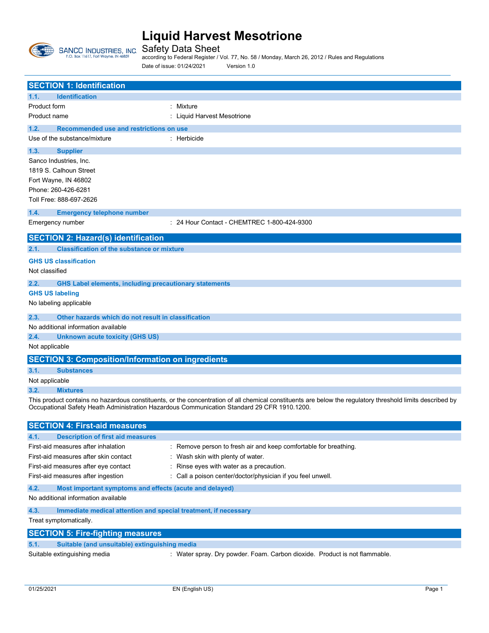

 $\overline{\phantom{a}}$ 

#### **Liquid Harvest Mesotrione**

Safety Data Sheet according to Federal Register / Vol. 77, No. 58 / Monday, March 26, 2012 / Rules and Regulations Date of issue: 01/24/2021 Version 1.0

|                              | <b>SECTION 1: Identification</b>                                |                                                                                                                                                           |
|------------------------------|-----------------------------------------------------------------|-----------------------------------------------------------------------------------------------------------------------------------------------------------|
| 1.1.                         | <b>Identification</b>                                           |                                                                                                                                                           |
| <b>Product form</b>          |                                                                 | : Mixture                                                                                                                                                 |
| Product name                 |                                                                 | : Liquid Harvest Mesotrione                                                                                                                               |
| 1.2.                         | Recommended use and restrictions on use                         |                                                                                                                                                           |
|                              | Use of the substance/mixture                                    | : Herbicide                                                                                                                                               |
| 1.3.                         | <b>Supplier</b>                                                 |                                                                                                                                                           |
| Sanco Industries, Inc.       |                                                                 |                                                                                                                                                           |
| 1819 S. Calhoun Street       |                                                                 |                                                                                                                                                           |
| Fort Wayne, IN 46802         |                                                                 |                                                                                                                                                           |
| Phone: 260-426-6281          |                                                                 |                                                                                                                                                           |
| Toll Free: 888-697-2626      |                                                                 |                                                                                                                                                           |
| 1.4.                         | <b>Emergency telephone number</b>                               |                                                                                                                                                           |
| Emergency number             |                                                                 | : 24 Hour Contact - CHEMTREC 1-800-424-9300                                                                                                               |
|                              |                                                                 |                                                                                                                                                           |
|                              | <b>SECTION 2: Hazard(s) identification</b>                      |                                                                                                                                                           |
| 2.1.                         | <b>Classification of the substance or mixture</b>               |                                                                                                                                                           |
| <b>GHS US classification</b> |                                                                 |                                                                                                                                                           |
| Not classified               |                                                                 |                                                                                                                                                           |
| 2.2.                         | <b>GHS Label elements, including precautionary statements</b>   |                                                                                                                                                           |
| <b>GHS US labeling</b>       |                                                                 |                                                                                                                                                           |
| No labeling applicable       |                                                                 |                                                                                                                                                           |
|                              |                                                                 |                                                                                                                                                           |
| 2.3.                         | Other hazards which do not result in classification             |                                                                                                                                                           |
|                              | No additional information available                             |                                                                                                                                                           |
| 2.4.                         | <b>Unknown acute toxicity (GHS US)</b>                          |                                                                                                                                                           |
| Not applicable               |                                                                 |                                                                                                                                                           |
|                              | <b>SECTION 3: Composition/Information on ingredients</b>        |                                                                                                                                                           |
| 3.1.                         | <b>Substances</b>                                               |                                                                                                                                                           |
| Not applicable               |                                                                 |                                                                                                                                                           |
| 3.2.                         | <b>Mixtures</b>                                                 |                                                                                                                                                           |
|                              |                                                                 | This product contains no hazardous constituents, or the concentration of all chemical constituents are below the regulatory threshold limits described by |
|                              |                                                                 | Occupational Safety Heath Administration Hazardous Communication Standard 29 CFR 1910.1200.                                                               |
|                              | <b>SECTION 4: First-aid measures</b>                            |                                                                                                                                                           |
| 4.1.                         | <b>Description of first aid measures</b>                        |                                                                                                                                                           |
|                              | First-aid measures after inhalation                             | : Remove person to fresh air and keep comfortable for breathing.                                                                                          |
|                              | First-aid measures after skin contact                           | : Wash skin with plenty of water.                                                                                                                         |
|                              | First-aid measures after eye contact                            | : Rinse eyes with water as a precaution.                                                                                                                  |
|                              | First-aid measures after ingestion                              | : Call a poison center/doctor/physician if you feel unwell.                                                                                               |
|                              |                                                                 |                                                                                                                                                           |
| 4.2.                         | Most important symptoms and effects (acute and delayed)         |                                                                                                                                                           |
|                              | No additional information available                             |                                                                                                                                                           |
| 4.3.                         | Immediate medical attention and special treatment, if necessary |                                                                                                                                                           |
| Treat symptomatically.       |                                                                 |                                                                                                                                                           |
|                              | <b>SECTION 5: Fire-fighting measures</b>                        |                                                                                                                                                           |
| 5.1.                         | Suitable (and unsuitable) extinguishing media                   |                                                                                                                                                           |
|                              | Suitable extinguishing media                                    | : Water spray. Dry powder. Foam. Carbon dioxide. Product is not flammable.                                                                                |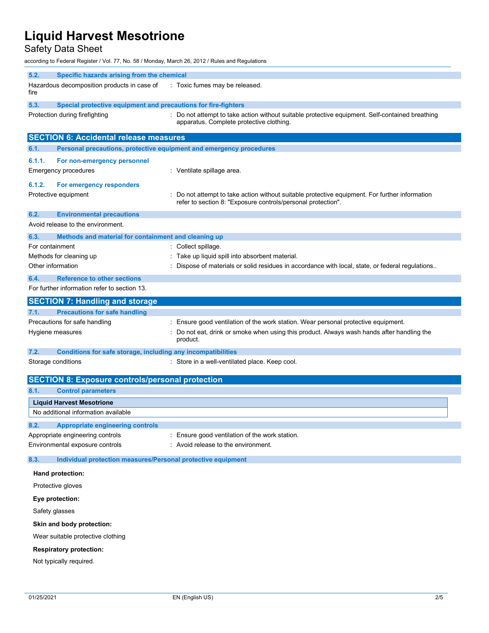Safety Data Sheet

according to Federal Register / Vol. 77, No. 58 / Monday, March 26, 2012 / Rules and Regulations

| 5.2.<br>Specific hazards arising from the chemical<br>Hazardous decomposition products in case of<br>fire | : Toxic fumes may be released.                                                                                                                                 |
|-----------------------------------------------------------------------------------------------------------|----------------------------------------------------------------------------------------------------------------------------------------------------------------|
| 5.3.<br>Special protective equipment and precautions for fire-fighters                                    |                                                                                                                                                                |
| Protection during firefighting                                                                            | : Do not attempt to take action without suitable protective equipment. Self-contained breathing<br>apparatus. Complete protective clothing.                    |
| <b>SECTION 6: Accidental release measures</b>                                                             |                                                                                                                                                                |
| Personal precautions, protective equipment and emergency procedures<br>6.1.                               |                                                                                                                                                                |
| 6.1.1.<br>For non-emergency personnel                                                                     |                                                                                                                                                                |
| Emergency procedures                                                                                      | : Ventilate spillage area.                                                                                                                                     |
| 6.1.2.<br>For emergency responders<br>Protective equipment                                                | : Do not attempt to take action without suitable protective equipment. For further information<br>refer to section 8: "Exposure controls/personal protection". |
| 6.2.<br><b>Environmental precautions</b>                                                                  |                                                                                                                                                                |
| Avoid release to the environment.                                                                         |                                                                                                                                                                |
| Methods and material for containment and cleaning up<br>6.3.                                              |                                                                                                                                                                |
| For containment                                                                                           | : Collect spillage.                                                                                                                                            |
| Methods for cleaning up                                                                                   | : Take up liquid spill into absorbent material.                                                                                                                |
| Other information                                                                                         | : Dispose of materials or solid residues in accordance with local, state, or federal regulations                                                               |
| <b>Reference to other sections</b><br>6.4.                                                                |                                                                                                                                                                |
| For further information refer to section 13.                                                              |                                                                                                                                                                |
| <b>SECTION 7: Handling and storage</b>                                                                    |                                                                                                                                                                |
| <b>Precautions for safe handling</b><br>7.1.                                                              |                                                                                                                                                                |
| Precautions for safe handling                                                                             | : Ensure good ventilation of the work station. Wear personal protective equipment.                                                                             |
| Hygiene measures                                                                                          | Do not eat, drink or smoke when using this product. Always wash hands after handling the<br>product.                                                           |
| Conditions for safe storage, including any incompatibilities<br>7.2.                                      |                                                                                                                                                                |
| Storage conditions                                                                                        | : Store in a well-ventilated place. Keep cool.                                                                                                                 |
| <b>SECTION 8: Exposure controls/personal protection</b>                                                   |                                                                                                                                                                |
| 8.1.<br><b>Control parameters</b>                                                                         |                                                                                                                                                                |
| <b>Liquid Harvest Mesotrione</b>                                                                          |                                                                                                                                                                |
| No additional information available                                                                       |                                                                                                                                                                |
| 8.2.<br><b>Appropriate engineering controls</b>                                                           |                                                                                                                                                                |
| Appropriate engineering controls                                                                          | : Ensure good ventilation of the work station.                                                                                                                 |
| Environmental exposure controls                                                                           | : Avoid release to the environment.                                                                                                                            |
| 8.3.<br>Individual protection measures/Personal protective equipment                                      |                                                                                                                                                                |
| Hand protection:                                                                                          |                                                                                                                                                                |
| Protective gloves                                                                                         |                                                                                                                                                                |
| Eye protection:                                                                                           |                                                                                                                                                                |
| Safety glasses                                                                                            |                                                                                                                                                                |
| Skin and body protection:                                                                                 |                                                                                                                                                                |
| Wear suitable protective clothing                                                                         |                                                                                                                                                                |
| <b>Respiratory protection:</b>                                                                            |                                                                                                                                                                |
| Not typically required.                                                                                   |                                                                                                                                                                |
|                                                                                                           |                                                                                                                                                                |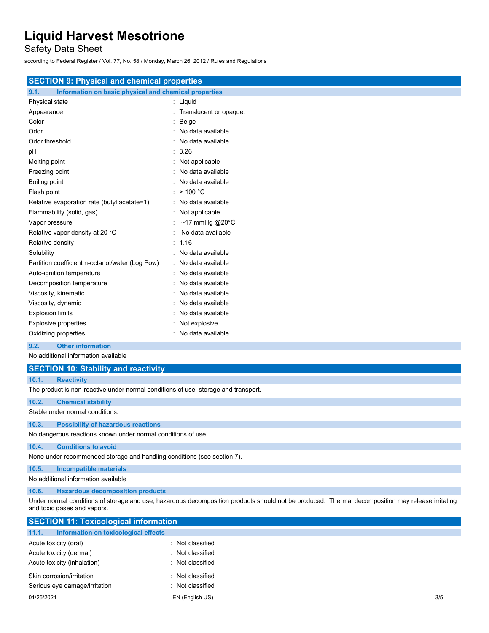Safety Data Sheet

according to Federal Register / Vol. 77, No. 58 / Monday, March 26, 2012 / Rules and Regulations

| <b>SECTION 9: Physical and chemical properties</b>            |                           |
|---------------------------------------------------------------|---------------------------|
| Information on basic physical and chemical properties<br>9.1. |                           |
| Physical state                                                | : Liquid                  |
| Appearance                                                    | Translucent or opaque.    |
| Color                                                         | Beige                     |
| Odor                                                          | No data available         |
| Odor threshold                                                | No data available         |
| pH                                                            | 3.26                      |
| Melting point                                                 | Not applicable            |
| Freezing point                                                | No data available         |
| Boiling point                                                 | No data available         |
| Flash point                                                   | >100 °C                   |
| Relative evaporation rate (butyl acetate=1)                   | No data available         |
| Flammability (solid, gas)                                     | Not applicable.           |
| Vapor pressure                                                | ~17 mmHg @20 $^{\circ}$ C |
| Relative vapor density at 20 °C                               | No data available         |
| Relative density                                              | 1.16                      |
| Solubility                                                    | No data available         |
| Partition coefficient n-octanol/water (Log Pow)               | No data available         |
| Auto-ignition temperature                                     | No data available         |
| Decomposition temperature                                     | No data available         |
| Viscosity, kinematic                                          | No data available         |
| Viscosity, dynamic                                            | No data available         |
| <b>Explosion limits</b>                                       | No data available         |
| <b>Explosive properties</b>                                   | Not explosive.            |
| Oxidizing properties                                          | No data available         |
| <b>Other information</b><br>9.2.                              |                           |
| No additional information available                           |                           |
| <b>SECTION 10: Stability and reactivity</b>                   |                           |
| 10.1.<br><b>Reactivity</b>                                    |                           |

The product is non-reactive under normal conditions of use, storage and transport.

| 10.2. | <b>Chemical stability</b>                                               |
|-------|-------------------------------------------------------------------------|
|       | Stable under normal conditions.                                         |
| 10.3. | <b>Possibility of hazardous reactions</b>                               |
|       | No dangerous reactions known under normal conditions of use.            |
| 10.4. | <b>Conditions to avoid</b>                                              |
|       | None under recommended storage and handling conditions (see section 7). |

#### **10.5. Incompatible materials** No additional information available

**10.6. Hazardous decomposition products**

Under normal conditions of storage and use, hazardous decomposition products should not be produced. Thermal decomposition may release irritating and toxic gases and vapors.

| <b>SECTION 11: Toxicological information</b>  |                  |     |
|-----------------------------------------------|------------------|-----|
| Information on toxicological effects<br>11.1. |                  |     |
| Acute toxicity (oral)                         | : Not classified |     |
| Acute toxicity (dermal)                       | : Not classified |     |
| Acute toxicity (inhalation)                   | : Not classified |     |
| Skin corrosion/irritation                     | : Not classified |     |
| Serious eye damage/irritation                 | : Not classified |     |
| 01/25/2021                                    | EN (English US)  | 3/5 |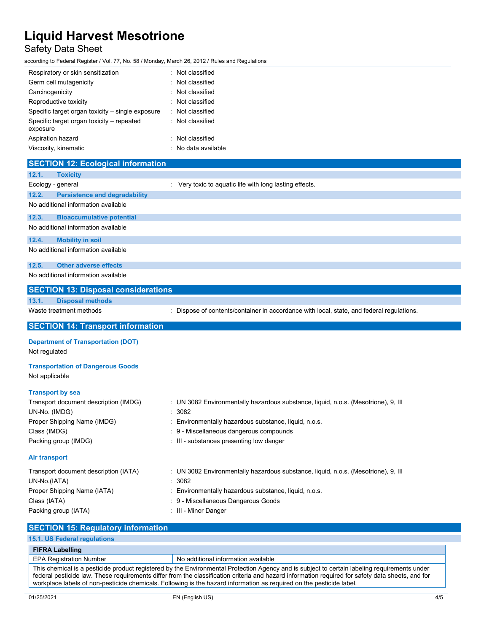#### Safety Data Sheet

according to Federal Register / Vol. 77, No. 58 / Monday, March 26, 2012 / Rules and Regulations

| Respiratory or skin sensitization                     | : Not classified    |
|-------------------------------------------------------|---------------------|
| Germ cell mutagenicity                                | : Not classified    |
| Carcinogenicity                                       | : Not classified    |
| Reproductive toxicity                                 | : Not classified    |
| Specific target organ toxicity – single exposure      | Not classified      |
| Specific target organ toxicity - repeated<br>exposure | : Not classified    |
| Aspiration hazard                                     | : Not classified    |
| Viscosity, kinematic                                  | : No data available |
|                                                       |                     |

| <b>SECTION 12: Ecological information</b>                  |                                                                                           |
|------------------------------------------------------------|-------------------------------------------------------------------------------------------|
| 12.1.<br><b>Toxicity</b>                                   |                                                                                           |
| Ecology - general                                          | : Very toxic to aquatic life with long lasting effects.                                   |
| 12.2.<br><b>Persistence and degradability</b>              |                                                                                           |
| No additional information available                        |                                                                                           |
| 12.3.<br><b>Bioaccumulative potential</b>                  |                                                                                           |
| No additional information available                        |                                                                                           |
| <b>Mobility in soil</b><br>12.4.                           |                                                                                           |
| No additional information available                        |                                                                                           |
| 12.5.<br><b>Other adverse effects</b>                      |                                                                                           |
| No additional information available                        |                                                                                           |
| <b>SECTION 13: Disposal considerations</b>                 |                                                                                           |
| 13.1.<br><b>Disposal methods</b>                           |                                                                                           |
| Waste treatment methods                                    | : Dispose of contents/container in accordance with local, state, and federal regulations. |
| <b>SECTION 14: Transport information</b>                   |                                                                                           |
| <b>Department of Transportation (DOT)</b><br>Not regulated |                                                                                           |
| <b>Transportation of Dangerous Goods</b><br>Not applicable |                                                                                           |
| <b>Transport by sea</b>                                    |                                                                                           |
| Transport document description (IMDG)                      | : UN 3082 Environmentally hazardous substance, liquid, n.o.s. (Mesotrione), 9, III        |
| UN-No. (IMDG)                                              | : 3082                                                                                    |
| Proper Shipping Name (IMDG)                                | Environmentally hazardous substance, liquid, n.o.s.                                       |
| Class (IMDG)                                               | 9 - Miscellaneous dangerous compounds                                                     |
| Packing group (IMDG)                                       | : III - substances presenting low danger                                                  |
| <b>Air transport</b>                                       |                                                                                           |
| Transport document description (IATA)                      | : UN 3082 Environmentally hazardous substance, liquid, n.o.s. (Mesotrione), 9, III        |
| UN-No.(IATA)                                               | 3082                                                                                      |
| Proper Shipping Name (IATA)                                | Environmentally hazardous substance, liquid, n.o.s.                                       |
| Class (IATA)                                               | 9 - Miscellaneous Dangerous Goods                                                         |
| Packing group (IATA)                                       | : III - Minor Danger                                                                      |
| <b>SECTION 15: Regulatory information</b>                  |                                                                                           |

| 15.1. US Federal regulations                                                                                                                                                                                                                                                                                                                                                                                              |                                     |
|---------------------------------------------------------------------------------------------------------------------------------------------------------------------------------------------------------------------------------------------------------------------------------------------------------------------------------------------------------------------------------------------------------------------------|-------------------------------------|
| <b>FIFRA Labelling</b>                                                                                                                                                                                                                                                                                                                                                                                                    |                                     |
| <b>EPA Registration Number</b>                                                                                                                                                                                                                                                                                                                                                                                            | No additional information available |
| This chemical is a pesticide product registered by the Environmental Protection Agency and is subject to certain labeling requirements under<br>federal pesticide law. These requirements differ from the classification criteria and hazard information required for safety data sheets, and for<br>workplace labels of non-pesticide chemicals. Following is the hazard information as required on the pesticide label. |                                     |